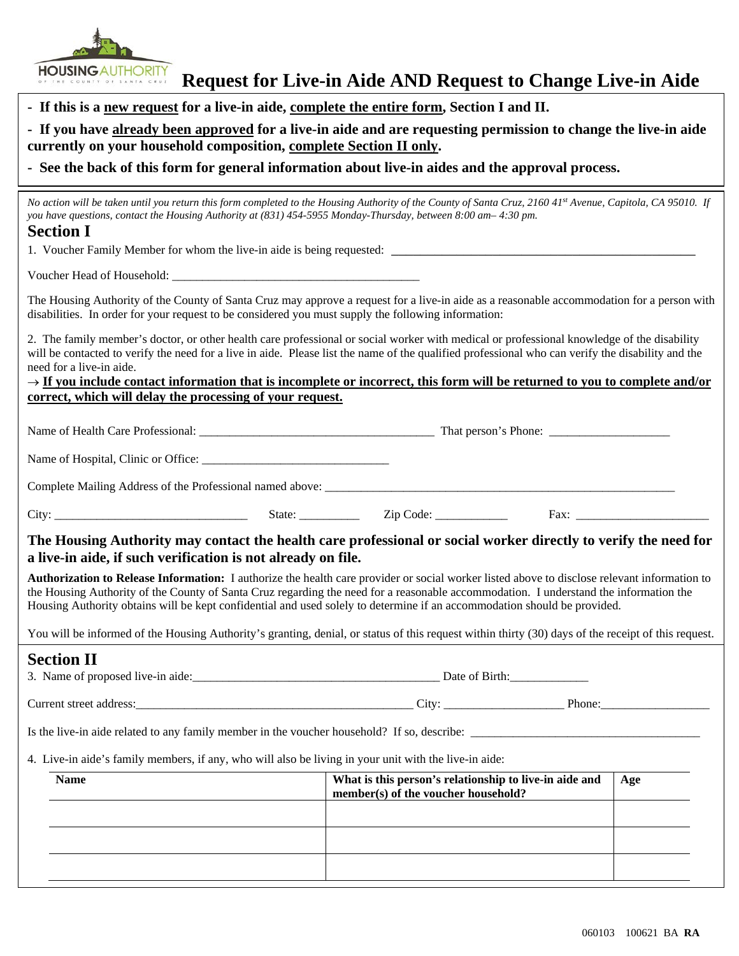HOUSING AUTHORITY

| - If this is a new request for a live-in aide, complete the entire form, Section I and II.<br>- If you have already been approved for a live-in aide and are requesting permission to change the live-in aide<br>currently on your household composition, complete Section II only.<br>- See the back of this form for general information about live-in aides and the approval process.                                                                                                                                           |                                                                                               |     |                                                                                                                                                                                                                                                                                                   |  |  |
|------------------------------------------------------------------------------------------------------------------------------------------------------------------------------------------------------------------------------------------------------------------------------------------------------------------------------------------------------------------------------------------------------------------------------------------------------------------------------------------------------------------------------------|-----------------------------------------------------------------------------------------------|-----|---------------------------------------------------------------------------------------------------------------------------------------------------------------------------------------------------------------------------------------------------------------------------------------------------|--|--|
|                                                                                                                                                                                                                                                                                                                                                                                                                                                                                                                                    |                                                                                               |     | No action will be taken until you return this form completed to the Housing Authority of the County of Santa Cruz, 2160 41st Avenue, Capitola, CA 95010. If<br>you have questions, contact the Housing Authority at (831) 454-5955 Monday-Thursday, between 8:00 am- 4:30 pm.<br><b>Section I</b> |  |  |
|                                                                                                                                                                                                                                                                                                                                                                                                                                                                                                                                    |                                                                                               |     |                                                                                                                                                                                                                                                                                                   |  |  |
| The Housing Authority of the County of Santa Cruz may approve a request for a live-in aide as a reasonable accommodation for a person with<br>disabilities. In order for your request to be considered you must supply the following information:                                                                                                                                                                                                                                                                                  |                                                                                               |     |                                                                                                                                                                                                                                                                                                   |  |  |
| 2. The family member's doctor, or other health care professional or social worker with medical or professional knowledge of the disability<br>will be contacted to verify the need for a live in aide. Please list the name of the qualified professional who can verify the disability and the<br>need for a live-in aide.<br>$\rightarrow$ If you include contact information that is incomplete or incorrect, this form will be returned to you to complete and/or<br>correct, which will delay the processing of your request. |                                                                                               |     |                                                                                                                                                                                                                                                                                                   |  |  |
|                                                                                                                                                                                                                                                                                                                                                                                                                                                                                                                                    |                                                                                               |     |                                                                                                                                                                                                                                                                                                   |  |  |
|                                                                                                                                                                                                                                                                                                                                                                                                                                                                                                                                    |                                                                                               |     |                                                                                                                                                                                                                                                                                                   |  |  |
|                                                                                                                                                                                                                                                                                                                                                                                                                                                                                                                                    |                                                                                               |     |                                                                                                                                                                                                                                                                                                   |  |  |
|                                                                                                                                                                                                                                                                                                                                                                                                                                                                                                                                    |                                                                                               |     |                                                                                                                                                                                                                                                                                                   |  |  |
| The Housing Authority may contact the health care professional or social worker directly to verify the need for<br>a live-in aide, if such verification is not already on file.                                                                                                                                                                                                                                                                                                                                                    |                                                                                               |     |                                                                                                                                                                                                                                                                                                   |  |  |
| Authorization to Release Information: I authorize the health care provider or social worker listed above to disclose relevant information to<br>the Housing Authority of the County of Santa Cruz regarding the need for a reasonable accommodation. I understand the information the<br>Housing Authority obtains will be kept confidential and used solely to determine if an accommodation should be provided.                                                                                                                  |                                                                                               |     |                                                                                                                                                                                                                                                                                                   |  |  |
| You will be informed of the Housing Authority's granting, denial, or status of this request within thirty (30) days of the receipt of this request.                                                                                                                                                                                                                                                                                                                                                                                |                                                                                               |     |                                                                                                                                                                                                                                                                                                   |  |  |
| <b>Section II</b>                                                                                                                                                                                                                                                                                                                                                                                                                                                                                                                  |                                                                                               |     |                                                                                                                                                                                                                                                                                                   |  |  |
|                                                                                                                                                                                                                                                                                                                                                                                                                                                                                                                                    |                                                                                               |     |                                                                                                                                                                                                                                                                                                   |  |  |
| Is the live-in aide related to any family member in the voucher household? If so, describe:                                                                                                                                                                                                                                                                                                                                                                                                                                        |                                                                                               |     |                                                                                                                                                                                                                                                                                                   |  |  |
| 4. Live-in aide's family members, if any, who will also be living in your unit with the live-in aide:                                                                                                                                                                                                                                                                                                                                                                                                                              |                                                                                               |     |                                                                                                                                                                                                                                                                                                   |  |  |
| <b>Name</b>                                                                                                                                                                                                                                                                                                                                                                                                                                                                                                                        | What is this person's relationship to live-in aide and<br>member(s) of the voucher household? | Age |                                                                                                                                                                                                                                                                                                   |  |  |
|                                                                                                                                                                                                                                                                                                                                                                                                                                                                                                                                    |                                                                                               |     |                                                                                                                                                                                                                                                                                                   |  |  |
|                                                                                                                                                                                                                                                                                                                                                                                                                                                                                                                                    |                                                                                               |     |                                                                                                                                                                                                                                                                                                   |  |  |
|                                                                                                                                                                                                                                                                                                                                                                                                                                                                                                                                    |                                                                                               |     |                                                                                                                                                                                                                                                                                                   |  |  |